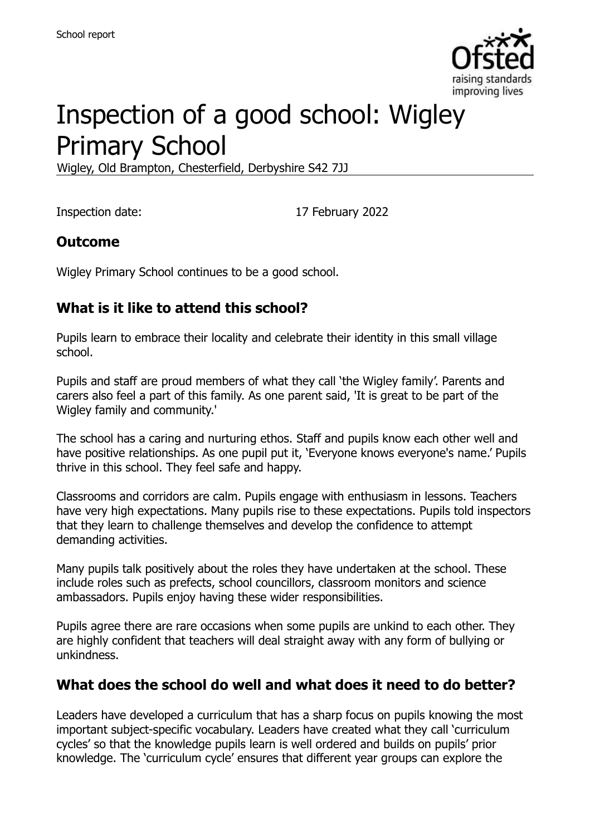

# Inspection of a good school: Wigley Primary School

Wigley, Old Brampton, Chesterfield, Derbyshire S42 7JJ

Inspection date: 17 February 2022

#### **Outcome**

Wigley Primary School continues to be a good school.

#### **What is it like to attend this school?**

Pupils learn to embrace their locality and celebrate their identity in this small village school.

Pupils and staff are proud members of what they call 'the Wigley family'. Parents and carers also feel a part of this family. As one parent said, 'It is great to be part of the Wigley family and community.'

The school has a caring and nurturing ethos. Staff and pupils know each other well and have positive relationships. As one pupil put it, 'Everyone knows everyone's name.' Pupils thrive in this school. They feel safe and happy.

Classrooms and corridors are calm. Pupils engage with enthusiasm in lessons. Teachers have very high expectations. Many pupils rise to these expectations. Pupils told inspectors that they learn to challenge themselves and develop the confidence to attempt demanding activities.

Many pupils talk positively about the roles they have undertaken at the school. These include roles such as prefects, school councillors, classroom monitors and science ambassadors. Pupils enjoy having these wider responsibilities.

Pupils agree there are rare occasions when some pupils are unkind to each other. They are highly confident that teachers will deal straight away with any form of bullying or unkindness.

#### **What does the school do well and what does it need to do better?**

Leaders have developed a curriculum that has a sharp focus on pupils knowing the most important subject-specific vocabulary. Leaders have created what they call 'curriculum cycles' so that the knowledge pupils learn is well ordered and builds on pupils' prior knowledge. The 'curriculum cycle' ensures that different year groups can explore the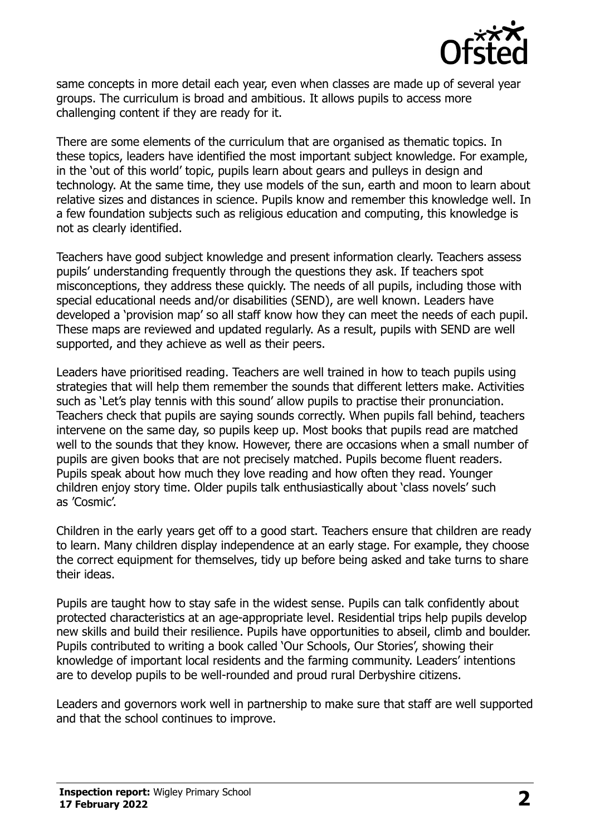

same concepts in more detail each year, even when classes are made up of several year groups. The curriculum is broad and ambitious. It allows pupils to access more challenging content if they are ready for it.

There are some elements of the curriculum that are organised as thematic topics. In these topics, leaders have identified the most important subject knowledge. For example, in the 'out of this world' topic, pupils learn about gears and pulleys in design and technology. At the same time, they use models of the sun, earth and moon to learn about relative sizes and distances in science. Pupils know and remember this knowledge well. In a few foundation subjects such as religious education and computing, this knowledge is not as clearly identified.

Teachers have good subject knowledge and present information clearly. Teachers assess pupils' understanding frequently through the questions they ask. If teachers spot misconceptions, they address these quickly. The needs of all pupils, including those with special educational needs and/or disabilities (SEND), are well known. Leaders have developed a 'provision map' so all staff know how they can meet the needs of each pupil. These maps are reviewed and updated regularly. As a result, pupils with SEND are well supported, and they achieve as well as their peers.

Leaders have prioritised reading. Teachers are well trained in how to teach pupils using strategies that will help them remember the sounds that different letters make. Activities such as 'Let's play tennis with this sound' allow pupils to practise their pronunciation. Teachers check that pupils are saying sounds correctly. When pupils fall behind, teachers intervene on the same day, so pupils keep up. Most books that pupils read are matched well to the sounds that they know. However, there are occasions when a small number of pupils are given books that are not precisely matched. Pupils become fluent readers. Pupils speak about how much they love reading and how often they read. Younger children enjoy story time. Older pupils talk enthusiastically about 'class novels' such as 'Cosmic'.

Children in the early years get off to a good start. Teachers ensure that children are ready to learn. Many children display independence at an early stage. For example, they choose the correct equipment for themselves, tidy up before being asked and take turns to share their ideas.

Pupils are taught how to stay safe in the widest sense. Pupils can talk confidently about protected characteristics at an age-appropriate level. Residential trips help pupils develop new skills and build their resilience. Pupils have opportunities to abseil, climb and boulder. Pupils contributed to writing a book called 'Our Schools, Our Stories', showing their knowledge of important local residents and the farming community. Leaders' intentions are to develop pupils to be well-rounded and proud rural Derbyshire citizens.

Leaders and governors work well in partnership to make sure that staff are well supported and that the school continues to improve.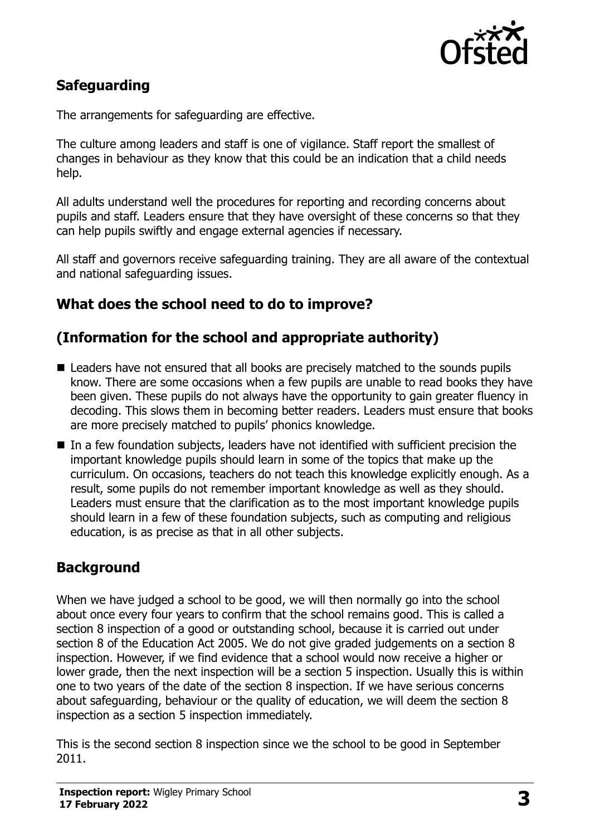

# **Safeguarding**

The arrangements for safeguarding are effective.

The culture among leaders and staff is one of vigilance. Staff report the smallest of changes in behaviour as they know that this could be an indication that a child needs help.

All adults understand well the procedures for reporting and recording concerns about pupils and staff. Leaders ensure that they have oversight of these concerns so that they can help pupils swiftly and engage external agencies if necessary.

All staff and governors receive safeguarding training. They are all aware of the contextual and national safeguarding issues.

# **What does the school need to do to improve?**

#### **(Information for the school and appropriate authority)**

- Leaders have not ensured that all books are precisely matched to the sounds pupils know. There are some occasions when a few pupils are unable to read books they have been given. These pupils do not always have the opportunity to gain greater fluency in decoding. This slows them in becoming better readers. Leaders must ensure that books are more precisely matched to pupils' phonics knowledge.
- In a few foundation subjects, leaders have not identified with sufficient precision the important knowledge pupils should learn in some of the topics that make up the curriculum. On occasions, teachers do not teach this knowledge explicitly enough. As a result, some pupils do not remember important knowledge as well as they should. Leaders must ensure that the clarification as to the most important knowledge pupils should learn in a few of these foundation subjects, such as computing and religious education, is as precise as that in all other subjects.

# **Background**

When we have judged a school to be good, we will then normally go into the school about once every four years to confirm that the school remains good. This is called a section 8 inspection of a good or outstanding school, because it is carried out under section 8 of the Education Act 2005. We do not give graded judgements on a section 8 inspection. However, if we find evidence that a school would now receive a higher or lower grade, then the next inspection will be a section 5 inspection. Usually this is within one to two years of the date of the section 8 inspection. If we have serious concerns about safeguarding, behaviour or the quality of education, we will deem the section 8 inspection as a section 5 inspection immediately.

This is the second section 8 inspection since we the school to be good in September 2011.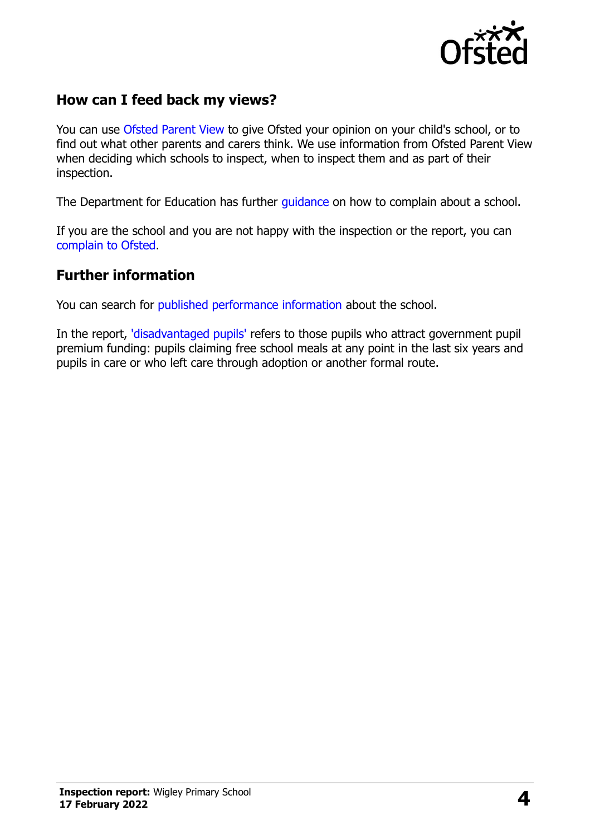

# **How can I feed back my views?**

You can use [Ofsted Parent View](https://parentview.ofsted.gov.uk/) to give Ofsted your opinion on your child's school, or to find out what other parents and carers think. We use information from Ofsted Parent View when deciding which schools to inspect, when to inspect them and as part of their inspection.

The Department for Education has further quidance on how to complain about a school.

If you are the school and you are not happy with the inspection or the report, you can [complain to Ofsted.](https://www.gov.uk/complain-ofsted-report)

#### **Further information**

You can search for [published performance information](http://www.compare-school-performance.service.gov.uk/) about the school.

In the report, ['disadvantaged pupils'](http://www.gov.uk/guidance/pupil-premium-information-for-schools-and-alternative-provision-settings) refers to those pupils who attract government pupil premium funding: pupils claiming free school meals at any point in the last six years and pupils in care or who left care through adoption or another formal route.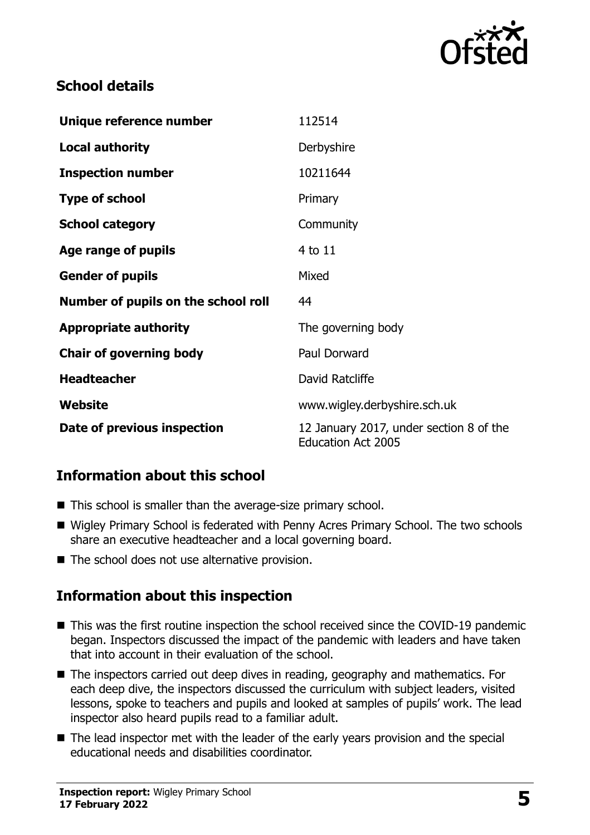

#### **School details**

| Unique reference number             | 112514                                                               |
|-------------------------------------|----------------------------------------------------------------------|
| <b>Local authority</b>              | Derbyshire                                                           |
| <b>Inspection number</b>            | 10211644                                                             |
| <b>Type of school</b>               | Primary                                                              |
| <b>School category</b>              | Community                                                            |
| Age range of pupils                 | 4 to 11                                                              |
| <b>Gender of pupils</b>             | Mixed                                                                |
| Number of pupils on the school roll | 44                                                                   |
| <b>Appropriate authority</b>        | The governing body                                                   |
| <b>Chair of governing body</b>      | Paul Dorward                                                         |
| <b>Headteacher</b>                  | David Ratcliffe                                                      |
| Website                             | www.wigley.derbyshire.sch.uk                                         |
| Date of previous inspection         | 12 January 2017, under section 8 of the<br><b>Education Act 2005</b> |

# **Information about this school**

- This school is smaller than the average-size primary school.
- Wigley Primary School is federated with Penny Acres Primary School. The two schools share an executive headteacher and a local governing board.
- $\blacksquare$  The school does not use alternative provision.

#### **Information about this inspection**

- This was the first routine inspection the school received since the COVID-19 pandemic began. Inspectors discussed the impact of the pandemic with leaders and have taken that into account in their evaluation of the school.
- The inspectors carried out deep dives in reading, geography and mathematics. For each deep dive, the inspectors discussed the curriculum with subject leaders, visited lessons, spoke to teachers and pupils and looked at samples of pupils' work. The lead inspector also heard pupils read to a familiar adult.
- The lead inspector met with the leader of the early years provision and the special educational needs and disabilities coordinator.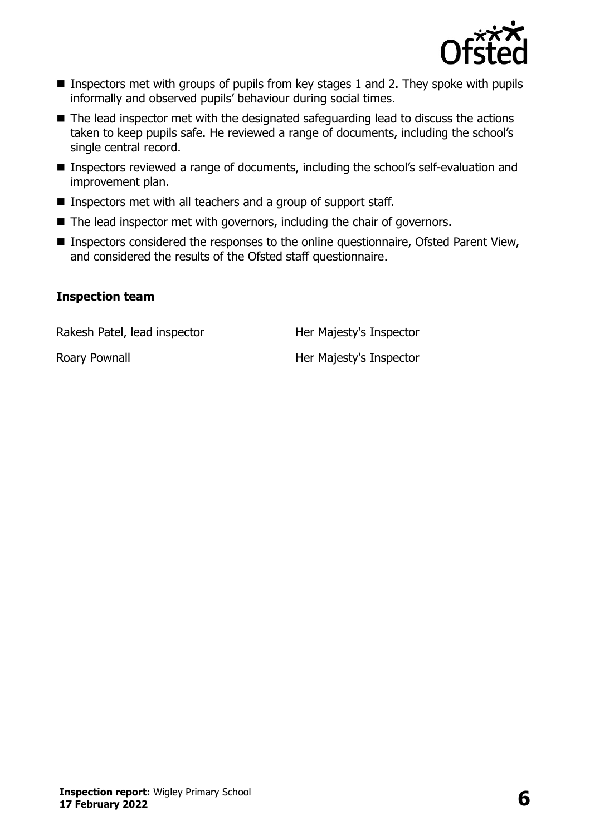

- **Inspectors met with groups of pupils from key stages 1 and 2. They spoke with pupils** informally and observed pupils' behaviour during social times.
- The lead inspector met with the designated safeguarding lead to discuss the actions taken to keep pupils safe. He reviewed a range of documents, including the school's single central record.
- Inspectors reviewed a range of documents, including the school's self-evaluation and improvement plan.
- Inspectors met with all teachers and a group of support staff.
- $\blacksquare$  The lead inspector met with governors, including the chair of governors.
- Inspectors considered the responses to the online questionnaire, Ofsted Parent View, and considered the results of the Ofsted staff questionnaire.

#### **Inspection team**

Rakesh Patel, lead inspector **Her Majesty's Inspector** 

Roary Pownall **Roary Pownall Her Majesty's Inspector**